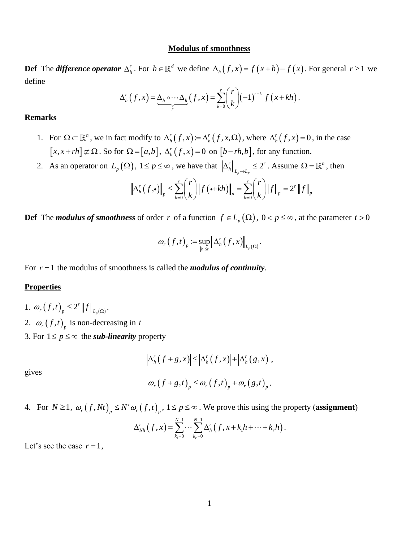### **Modulus of smoothness**

**Def** The *difference operator*  $\Delta_h^r$ . For  $h \in \mathbb{R}^d$  we define  $\Delta_h(f, x) = f(x+h) - f(x)$ . For general  $r \ge 1$  we define  $\Delta_h^r(f, x) = \underbrace{\Delta_h \circ \cdots \Delta_h}_{r}(f, x) = \sum_{k=0}^r {r \choose k} (-1)^{r-k} f(x + kh)$ . define

$$
\Delta_h^r(f,x) = \underbrace{\Delta_h \circ \cdots \Delta_h}_{r}(f,x) = \sum_{k=0}^r {r \choose k} (-1)^{r-k} f(x+kh).
$$

### **Remarks**

- 1. For  $\Omega \subset \mathbb{R}^n$ , we in fact modify to  $\Delta_h^r(f, x) = \Delta_h^r(f, x, \Omega)$ , where  $\Delta_h^r(f, x) = 0$ , in the case  $[x, x + rh] \subset \Omega$ . So for  $\Omega = [a, b]$ ,  $\Delta_h^r(f, x) = 0$  on  $[b - rh, b]$ , for any function.
- 2. As an operator on  $L_p(\Omega)$ ,  $1 \le p \le \infty$ , we have that  $\left\| \Delta_h^r \right\|_{L_p \to L_p} \le 2$ *r*  $\|$  /  $\gamma$ *r*  $1 \le p \le \infty$ , we have that  $\left\| \Delta_h^r \right\|_{L_p \to L_p} \le 2^r$ . Assume  $\Omega = \mathbb{R}^n$ , then<br>  $\left\| f_r(r, \cdot) \right\|_p \le \sum_{k=0}^r {r \choose k} \left\| f(r + kh) \right\|_p = \sum_{k=0}^r {r \choose k} \left\| f \right\|_p = 2^r \left\| f \right\|_p$

2), 
$$
1 \le p \le \infty
$$
, we have that  $\left\| \Delta_h^r \right\|_{L_p \to L_p} \le 2^r$ . Assume  $\Omega =$   
 $\left\| \Delta_h^r(f, \cdot) \right\|_p \le \sum_{k=0}^r {r \choose k} \left\| f(\cdot + kh) \right\|_p = \sum_{k=0}^r {r \choose k} \left\| f \right\|_p = 2^r \left\| f \right\|_p$ 

**Def** The *modulus of smoothness* of order r of a function  $f \in L_p(\Omega)$ ,  $0 < p \le \infty$ , at the parameter  $t > 0$ 

$$
\omega_r(f,t)_p := \sup_{|h| \leq t} \left\| \Delta_h^r(f,x) \right\|_{L_p(\Omega)}.
$$

For  $r = 1$  the modulus of smoothness is called the *modulus of continuity*.

### **Properties**

1.  $\omega_r(f,t)_p \leq 2^r ||f||_{L_p(\Omega)}$ *r*  $\omega_r(f,t)_p \leq 2^r \|f\|_{L_r(\Omega)}.$ 2.  $\omega_r(f,t)_p$  is non-decreasing in t 3. For  $1 \le p \le \infty$  the *sub-linearity* property

$$
\left|\Delta_h^r(f+g,x)\right|\leq \left|\Delta_h^r(f,x)\right|+\left|\Delta_h^r(g,x)\right|,
$$

gives

$$
\omega_r(f+g,t)_p \leq \omega_r(f,t)_p + \omega_r(g,t)_p.
$$

4. For  $N \ge 1$ ,  $\omega_r(f, Nt)_p \le N^r \omega_r(f, t)_p$ ,  $1 \le p \le \infty$ . We prove this using the property (assignment)

$$
\omega_r
$$
  $(f, t)_p$ ,  $1 \le p \le \infty$ . We prove this using the pr  

$$
\Delta_{Nh}^r(f, x) = \sum_{k_1=0}^{N-1} \cdots \sum_{k_r=0}^{N-1} \Delta_h^r(f, x + k_1 h + \cdots + k_r h).
$$

Let's see the case  $r = 1$ ,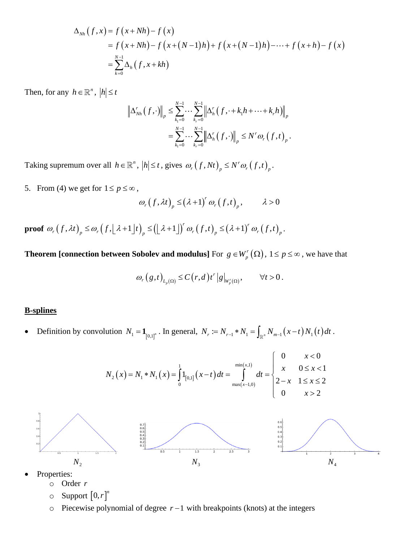$$
\Delta_{Nh}(f, x) = f(x + Nh) - f(x)
$$
  
= f(x + Nh) - f(x + (N-1)h) + f(x + (N-1)h) - \dots + f(x + h) - f(x)  
= 
$$
\sum_{k=0}^{N-1} \Delta_h(f, x + kh)
$$

Then, for any  $h \in \mathbb{R}^n$ ,  $|h| \leq t$ 

$$
\left\| \Delta_{Nh}^r(f, \cdot) \right\|_p \leq \sum_{k_1=0}^{N-1} \cdots \sum_{k_r=0}^{N-1} \left\| \Delta_h^r(f, \cdot + k_1 h + \cdots + k_r h) \right\|_p
$$
  
= 
$$
\sum_{k_1=0}^{N-1} \cdots \sum_{k_r=0}^{N-1} \left\| \Delta_h^r(f, \cdot) \right\|_p \leq N^r \omega_r(f, t)_p.
$$

Taking supremum over all  $h \in \mathbb{R}^n$ ,  $|h| \le t$ , gives  $\omega_r(f, Nt)_p \le N^r \omega_r(f, t)_p$ .

5. From (4) we get for  $1 \le p \le \infty$ ,

$$
\left\langle \omega_r(f,\lambda t)\right\rangle_p \leq \left(\lambda+1\right)^r \omega_r(f,t)_p, \qquad \lambda>0
$$

**proof**  $\omega_r(f, \lambda t)_p \le (\lambda + 1)' \omega_r(f, t)_p,$   $\lambda > 0$ <br> $(f, \lambda t)_p \le \omega_r(f, [\lambda + 1]t)_p \le ([\lambda + 1])' \omega_r(f, t)_p \le (\lambda + 1)' \omega_r(f, t)$  $r$  *(c)*  $\leq$  (2, 1)<sup>r</sup>  $\omega_r(f, \lambda t)_p \le (\lambda + 1)^r \omega_r(f, t)_p,$   $\lambda > 0$ <br>  $\omega_r(f, \lambda t)_p \le \omega_r(f, \lfloor \lambda + 1 \rfloor t)_p \le (\lfloor \lambda + 1 \rfloor)^r \omega_r(f, t)_p \le (\lambda + 1)^r \omega_r(f, t)_p.$ .

<span id="page-1-0"></span>**Theorem [connection between Sobolev and modulus]** For  $g \in W_p^r(\Omega)$  $g \in W_p^r(\Omega)$ ,  $1 \le p \le \infty$  , we have that

$$
\omega_r(g,t)_{L_p(\Omega)} \leq C(r,d) t^r |g|_{W_p(\Omega)}, \qquad \forall t > 0.
$$

### **B-splines**

• Definition by convolution 
$$
N_1 = \mathbf{1}_{[0,1]^n}
$$
. In general,  $N_r := N_{r-1} * N_1 = \int_{\mathbb{R}^n} N_{m-1}(x-t) N_1(t) dt$ .  
\n
$$
N_2(x) = N_1 * N_1(x) = \int_0^1 \mathbf{1}_{[0,1]}(x-t) dt = \int_{\max(x-1,0)}^{\min(x,1)} dt = \begin{cases} 0 & x < 0 \\ x & 0 \le x < 1 \\ 2-x & 1 \le x \le 2 \\ 0 & x > 2 \end{cases}
$$
\n
$$
\downarrow
$$
\n
$$
\downarrow
$$
\n
$$
\downarrow
$$
\n
$$
\downarrow
$$
\n
$$
\downarrow
$$
\n
$$
\downarrow
$$
\n
$$
\downarrow
$$
\n
$$
\downarrow
$$
\n
$$
\downarrow
$$
\n
$$
\downarrow
$$
\n
$$
\downarrow
$$
\n
$$
\downarrow
$$
\n
$$
\downarrow
$$
\n
$$
\downarrow
$$
\n
$$
\downarrow
$$
\n
$$
\downarrow
$$
\n
$$
\downarrow
$$
\n
$$
\downarrow
$$
\n
$$
\downarrow
$$
\n
$$
\downarrow
$$
\n
$$
\downarrow
$$
\n
$$
\downarrow
$$
\n
$$
\downarrow
$$
\n
$$
\downarrow
$$
\n
$$
\downarrow
$$
\n
$$
\downarrow
$$
\n
$$
\downarrow
$$
\n
$$
\downarrow
$$
\n
$$
\downarrow
$$
\n
$$
\downarrow
$$
\n
$$
\downarrow
$$
\n
$$
\downarrow
$$
\n
$$
\downarrow
$$
\n
$$
\downarrow
$$
\n
$$
\downarrow
$$
\n
$$
\downarrow
$$
\n
$$
\downarrow
$$
\n
$$
\downarrow
$$
\n
$$
\downarrow
$$
\n
$$
\downarrow
$$
\n
$$
\downarrow
$$
\n
$$
\downarrow
$$
\n
$$
\downarrow
$$
\n
$$
\downarrow
$$
\n
$$
\downarrow
$$
\n
$$
\downarrow
$$
\n
$$
\downarrow
$$
\n<math display="block</p>

- Properties:
	- o Order *r*
	- $\circ$  **Support**  $[0,r]^n$
	- o Piecewise polynomial of degree *r* −1 with breakpoints (knots) at the integers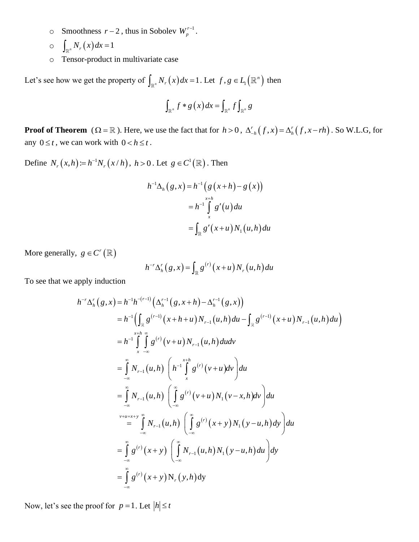- o Smoothness  $r-2$ , thus in Sobolev  $W_p^{r-1}$ .
- $\int_{\mathbb{R}^n} N_r(x) dx = 1$
- o Tensor-product in multivariate case

Let's see how we get the property of  $\int_{\mathbb{R}^n} N_r(x) dx = 1$ . Let  $f, g \in L_1(\mathbb{R}^n)$  then

$$
\int_{\mathbb{R}^n} f * g(x) dx = \int_{\mathbb{R}^n} f \int_{\mathbb{R}^n} g
$$

**Proof of Theorem** ( $\Omega = \mathbb{R}$ ). Here, we use the fact that for  $h > 0$ ,  $\Delta_{-h}^{r}(f, x) = \Delta_h^{r}(f, x - rh)$ . So W.L.G, for any  $0 \le t$ , we can work with  $0 < h \le t$ .

Define  $N_r(x,h) = h^{-1}N_r(x/h)$ ,  $h > 0$ . Let  $g \in C^1(\mathbb{R})$ . Then

$$
h^{-1}\Delta_h(g, x) = h^{-1}\left(g(x+h) - g(x)\right)
$$
  
=  $h^{-1}\int_x^{x+h} g'(u) du$   
=  $\int_{\mathbb{R}} g'(x+u) N_1(u,h) du$ 

More generally,  $g \in C^r(\mathbb{R})$ 

$$
h^{-r}\Delta_h^r(g,x) = \int_{\mathbb{R}} g^{(r)}(x+u) N_r(u,h) du
$$

To see that we apply induction

apply induction  
\n
$$
h^{-1} \Delta_h^{\mathsf{F}}(g, x) = \int_{\mathbb{R}} g^{-1} (x + u)^{N} (u, u) \, du
$$
\n
$$
h^{-1} \Delta_h^{\mathsf{F}}(g, x) = h^{-1} h^{-(r-1)} \Big( \Delta_h^{r-1} (g, x + h) - \Delta_h^{r-1} (g, x) \Big)
$$
\n
$$
= h^{-1} \Big( \int_{\mathbb{R}} g^{(r-1)} (x + h + u) N_{r-1} (u, h) \, du - \int_{\mathbb{R}} g^{(r-1)} (x + u) N_{r-1} (u, h) \, du \Big)
$$
\n
$$
= h^{-1} \int_{x \to \infty}^{x+h} \int_{-\infty}^{\infty} g^{(r)} (v + u) N_{r-1} (u, h) \, du \, dv
$$
\n
$$
= \int_{-\infty}^{\infty} N_{r-1} (u, h) \left( h^{-1} \int_{x}^{x+h} g^{(r)} (v + u) \, dv \right) \, du
$$
\n
$$
= \int_{-\infty}^{\infty} N_{r-1} (u, h) \left( \int_{-\infty}^{\infty} g^{(r)} (v + u) N_1 (v - x, h) \, dv \right) \, du
$$
\n
$$
= \int_{-\infty}^{y} N_{r-1} (u, h) \left( \int_{-\infty}^{\infty} g^{(r)} (x + y) N_1 (y - u, h) \, dy \right) \, du
$$
\n
$$
= \int_{-\infty}^{\infty} g^{(r)} (x + y) \left( \int_{-\infty}^{\infty} N_{r-1} (u, h) N_1 (y - u, h) \, du \right) \, dy
$$
\n
$$
= \int_{-\infty}^{\infty} g^{(r)} (x + y) N_r (y, h) \, dy
$$

Now, let's see the proof for  $p=1$ . Let  $|h| \leq t$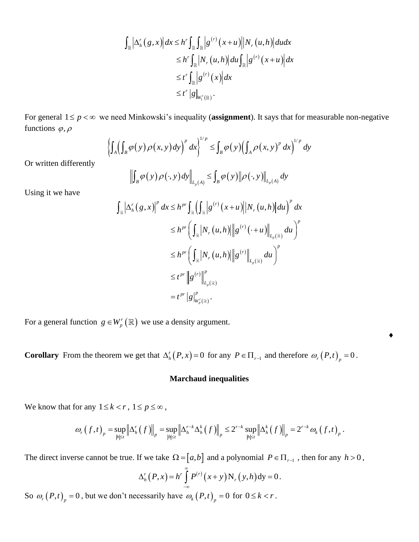$$
\int_{\mathbb{R}} \left| \Delta_h^r(g, x) \right| dx \leq h^r \int_{\mathbb{R}} \int_{\mathbb{R}} \left| g^{(r)}(x+u) \right| \left| N_r(u, h) \right| dudx
$$
  
\n
$$
\leq h^r \int_{\mathbb{R}} \left| N_r(u, h) \right| du \int_{\mathbb{R}} \left| g^{(r)}(x+u) \right| dx
$$
  
\n
$$
\leq t^r \int_{\mathbb{R}} \left| g^{(r)}(x) \right| dx
$$
  
\n
$$
\leq t^r \left| g \right|_{W_1^r(\mathbb{R})}.
$$

For general  $1 \le p < \infty$  we need Minkowski's inequality (**assignment**). It says that for measurable non-negative<br>functions  $\varphi, \rho$ <br> $\left\{ \int_A \left( \int_B \varphi(y) \rho(x, y) dy \right)^p dx \right\}^{1/p} \le \int_B \varphi(y) \left( \int_A \rho(x, y)^p dx \right)^{1/p} dy$ functions  $\varphi, \rho$ 

$$
\left\{\int_A \left(\int_B \varphi(y)\rho(x,y)dy\right)^p dx\right\}^{1/p} \le \int_B \varphi(y) \left(\int_A \rho(x,y)^p dx\right)^{1/p} dy
$$

Or written differently

$$
\left\| \int_{B} \varphi(y) \rho(\cdot, y) dy \right\|_{L_{p}(A)} \leq \int_{B} \varphi(y) \left\| \rho(\cdot, y) \right\|_{L_{p}(A)} dy
$$

Using it we have

$$
\|\int_{B} \varphi(y) \rho(\cdot, y) dy\|_{L_{p}(A)} \leq \int_{B} \varphi(y) \|\rho(\cdot, y)\|_{L_{p}(A)} dy
$$
  

$$
\int_{\mathbb{R}} |\Delta_{h}^{r}(g, x)|^{p} dx \leq h^{pr} \int_{\mathbb{R}} (\int_{\mathbb{R}} |g^{(r)}(x+u)| |N_{r}(u, h)| du)^{p} dx
$$
  

$$
\leq h^{pr} \left( \int_{\mathbb{R}} |N_{r}(u, h)| ||g^{(r)}(\cdot + u)||_{L_{p}(\mathbb{R})} du \right)^{p}
$$
  

$$
\leq h^{pr} \left( \int_{\mathbb{R}} |N_{r}(u, h)| ||g^{(r)}||_{L_{p}(\mathbb{R})} du \right)^{p}
$$
  

$$
\leq t^{pr} ||g^{(r)}||_{L_{p}(\mathbb{R})}^{p}
$$
  

$$
= t^{pr} |g|_{W_{p}(\mathbb{R})}^{p}.
$$

For a general function  $g \in W'_p(\mathbb{R})$  $g \in W_p^r(\mathbb{R})$  we use a density argument.

**Corollary** From the theorem we get that  $\Delta_h^r(P, x) = 0$  for any  $P \in \Pi_{r-1}$  and therefore  $\omega_r(P, t)$ <sub>p</sub> = 0.

### **Marchaud inequalities**

 $\blacklozenge$ 

We know that for any  $1 \leq k < r$ ,  $1 \leq p \leq \infty$ ,

for any 
$$
1 \le k < r
$$
,  $1 \le p \le \infty$ ,  
\n
$$
\omega_r(f,t)_p = \sup_{|h| \le t} \left\| \Delta_h^r(f) \right\|_p = \sup_{|h| \le t} \left\| \Delta_h^{r-k} \Delta_h^k(f) \right\|_p \le 2^{r-k} \sup_{|h| \le t} \left\| \Delta_h^k(f) \right\|_p = 2^{r-k} \omega_k(f,t)_p.
$$

The direct inverse cannot be true. If we take  $\Omega = [a, b]$  and a polynomial  $P \in \Pi_{r-1}$ , then for any  $h > 0$ ,

$$
\Delta_h^r(P,x) = h^r \int_{-\infty}^{\infty} P^{(r)}(x+y) N_r(y,h) dy = 0.
$$

So  $\omega_r(P,t)_p = 0$ , but we don't necessarily have  $\omega_k(P,t)_p = 0$  for  $0 \le k < r$ .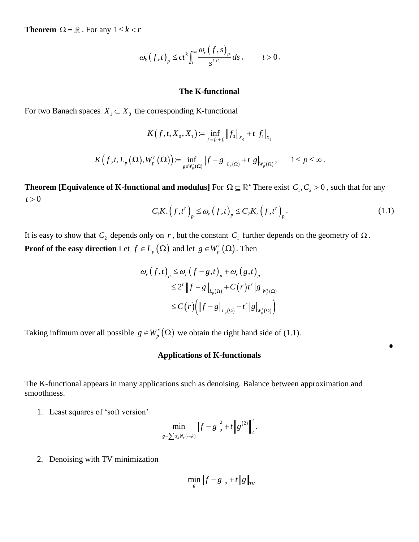**Theorem**  $\Omega = \mathbb{R}$ . For any  $1 \leq k < r$ 

$$
\omega_{k}(f,t)_{p} \le ct^{k} \int_{t}^{\infty} \frac{\omega_{r}(f,s)_{p}}{s^{k+1}} ds, \qquad t > 0.
$$

# **The K-functional**

For two Banach spaces  $X_1 \subset X_0$  the corresponding K-functional

$$
K(f, t, X_0, X_1) := \inf_{f=f_0+f_1} ||f_0||_{X_0} + t |f_1|_{X_1}
$$
  

$$
K(f, t, L_p(\Omega), W_p^r(\Omega)) := \inf_{g \in W_p^r(\Omega)} ||f - g||_{L_p(\Omega)} + t |g|_{W_p^r(\Omega)}, \qquad 1 \le p \le \infty.
$$

**Theorem** [Equivalence of K-functional and modulus] For  $\Omega \subseteq \mathbb{R}^n$  There exist  $C_1, C_2 > 0$ , such that for any  $t > 0$ 

$$
C_{1}K_{r}(f,t^{r})_{p} \leq \omega_{r}(f,t)_{p} \leq C_{2}K_{r}(f,t^{r})_{p}.
$$
\n(1.1)

٠

It is easy to show that  $C_2$  depends only on r, but the constant  $C_1$  further depends on the geometry of  $\Omega$ . **Proof of the easy direction** Let  $f \in L_p(\Omega)$  and let  $g \in W_p^r(\Omega)$  $g \in W_p^r(\Omega)$  . Then

$$
\omega_r(f,t)_p \le \omega_r(f-g,t)_p + \omega_r(g,t)_p
$$
  
\n
$$
\le 2^r \|f-g\|_{L_p(\Omega)} + C(r)t^r \|g\|_{W_p'(\Omega)}
$$
  
\n
$$
\le C(r) \Big( \|f-g\|_{L_p(\Omega)} + t^r \|g\|_{W_p'(\Omega)} \Big)
$$

Taking infimum over all possible  $g \in W_p^r(\Omega)$  $g \in W_p^r(\Omega)$  we obtain the right hand side of (1.1).

# **Applications of K-functionals**

The K-functional appears in many applications such as denoising. Balance between approximation and smoothness.

1. Least squares of 'soft version'

$$
\min_{g=\sum \alpha_k N_r(-k)} \|f-g\|_2^2 + t \|g^{(2)}\|_2^2.
$$

2. Denoising with TV minimization

$$
\min_{g} \|f - g\|_{2} + t \|g\|_{TV}
$$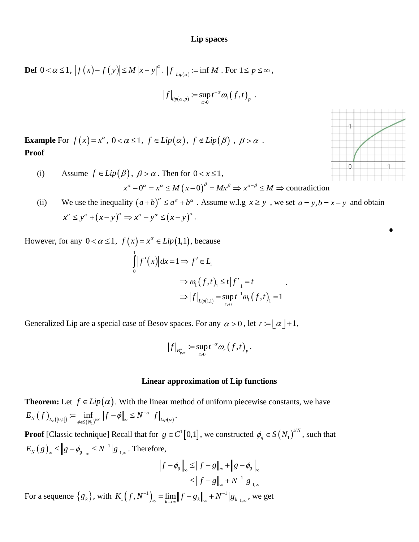# **Lip spaces**

 $>$ 

$$
\text{Def } 0 < \alpha \le 1, \, \left| f(x) - f(y) \right| \le M \left| x - y \right|^{\alpha}. \left| f \right|_{\text{Lip}(\alpha)} := \inf M. \text{ For } 1 \le p \le \infty,
$$
\n
$$
\left| f \right|_{\text{Lip}(\alpha, p)} := \sup_{t > 0} t^{-\alpha} \omega_1 \left( f, t \right)_p.
$$

**Example** For  $f(x) = x^{\alpha}$ ,  $0 < \alpha \le 1$ ,  $f \in Lip(\alpha)$ ,  $f \notin Lip(\beta)$ ,  $\beta > \alpha$ . **Proof**

(i) Assume 
$$
f \in Lip(\beta)
$$
,  $\beta > \alpha$ . Then for  $0 < x \le 1$ ,  
\n
$$
x^{\alpha} - 0^{\alpha} = x^{\alpha} \le M (x - 0)^{\beta} = Mx^{\beta} \Rightarrow x^{\alpha - \beta} \le M \Rightarrow
$$
 contradiction

(ii) We use the inequality  $(a+b)^{\alpha} \le a^{\alpha} + b^{\alpha}$ . Assume w.l.g  $x \ge y$ , we set  $a = y, b = x - y$  and obtain we use the inequality  $(a+b) \le a^* + b^*$ .<br>  $x^{\alpha} \le y^{\alpha} + (x-y)^{\alpha} \Rightarrow x^{\alpha} - y^{\alpha} \le (x-y)^{\alpha}.$ 

However, for any  $0 < \alpha \leq 1$ ,  $f(x) = x^{\alpha} \in Lip(1,1)$ , because

$$
\int_{0}^{1} |f'(x)| dx = 1 \Rightarrow f' \in L_1
$$
\n
$$
\Rightarrow \omega_1(f, t)_1 \le t |f'|_1 = t
$$
\n
$$
\Rightarrow |f|_{Lip(1,1)} = \sup_{t>0} t^{-1} \omega_1(f, t)_1 = 1
$$

.

Generalized Lip are a special case of Besov spaces. For any  $\alpha > 0$ , let  $r := \lfloor \alpha \rfloor + 1$ ,

$$
\left|f\right|_{B_{p,\infty}^{\alpha}} := \sup_{t>0} t^{-\alpha} \omega_r \left(f,t\right)_p.
$$

#### **Linear approximation of Lip functions**

**Theorem:** Let  $f \in Lip(\alpha)$ . With the linear method of uniform piecewise constants, we have **Theorem:** Let  $f \in Lip(\alpha)$ . With the linear m<br>  $E_N(f)_{L_{\infty}([0,1])} := \inf_{\phi \in S(N_1)^{N/N}} ||f - \phi||_{\infty} \le N^{-\alpha} |f|_{Lip(\alpha)}$ − t  $f \in Lip(\alpha)$ . With the linear m<br>=  $\inf_{\phi \in S(N_1)^{1/N}} ||f - \phi||_{\infty} \le N^{-\alpha} |f|_{Lip(\alpha)}$ .

**Proof** [Classic technique] Recall that for  $g \in C^1[0,1]$ , we constructed  $\phi_g \in S(N_1)^{\perp}$ 1  $\phi_g \in S(N_1)^{1/N}$ , such that  $(g)_{\infty} \leq \|g - \phi_{\infty}\| \leq N^{-1}$  $E_N(g)_{\infty} \leq ||g - \phi_g||_{\infty} \leq N^{-1} |g|_{\mathbf{I},\mathbf{I}}$ −  $\leq$   $||g - \phi_g||_{\infty}$  ≤  $N^{-1} |g|_{1,\infty}$ . Therefore,

$$
||f - \phi_{g}||_{\infty} \le ||f - g||_{\infty} + ||g - \phi_{g}||_{\infty}
$$
  

$$
\le ||f - g||_{\infty} + N^{-1}||g||_{\infty}
$$

 $\text{For a sequence } \{g_k\}, \text{ with } K_1(f, N^{-1})_{\infty} = \lim_{k \to \infty} ||f - g_k||_{\infty} + N^{-1} |g_k|_{1,\infty}, \text{ we get}$ 

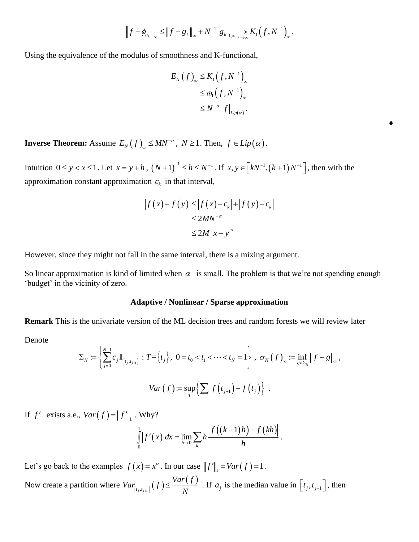$$
\left\|f - \phi_{g_k}\right\|_{\infty} \leq \left\|f - g_k\right\|_{\infty} + N^{-1} |g_k|_{L^{\infty}} \to K_1(f, N^{-1})_{\infty}.
$$

Using the equivalence of the modulus of smoothness and K-functional,

$$
E_N(f)_\infty \leq K_1(f, N^{-1})_\infty
$$
  
\n
$$
\leq \omega_1(f, N^{-1})_\infty
$$
  
\n
$$
\leq N^{-\alpha} |f|_{Lip(\alpha)}.
$$

 $\bullet$ 

**Inverse Theorem:** Assume  $E_N(f)_{\infty} \leq MN^{-\alpha}$  $\mathcal{L}_{\infty} \leq MN^{-\alpha}$ ,  $N \geq 1$ . Then,  $f \in Lip(\alpha)$ .

Intuition  $0 \le y < x \le 1$ . Let  $x = y + h$ ,  $(N+1)^{-1} \le h \le N^{-1}$ . If  $x, y \in \left[kN^{-1}, (k+1)N^{-1}\right]$ , then with the approximation constant approximation  $c_k$  in that interval,

$$
\begin{aligned} \left| f(x) - f(y) \right| &\leq \left| f(x) - c_k \right| + \left| f(y) - c_k \right| \\ &\leq 2MN^{-\alpha} \\ &\leq 2M \left| x - y \right|^{\alpha} \end{aligned}
$$

However, since they might not fall in the same interval, there is a mixing argument.

So linear approximation is kind of limited when  $\alpha$  is small. The problem is that we're not spending enough 'budget' in the vicinity of zero.

### **Adaptive / Nonlinear / Sparse approximation**

**Remark** This is the univariate version of the ML decision trees and random forests we will review later

Denote

$$
\Sigma_{N} := \left\{ \sum_{j=0}^{N-1} c_{j} \mathbf{1}_{[t_{j}, t_{j+1}]} : T = \left\{ t_{j} \right\}, \ 0 = t_{0} < t_{1} < \cdots < t_{N} = 1 \right\}, \ \sigma_{N} \left( f \right)_{\infty} := \inf_{g \in \Sigma_{N}} \left\| f - g \right\|_{\infty},
$$
\n
$$
Var(f) := \sup_{T} \left\{ \sum \left| f(t_{j+1}) - f(t_{j}) \right| \right\} \ .
$$

If  $f'$  exists a.e.,  $Var(f) = ||f'||_1$ . Why?

. Why?  

$$
\int_{0}^{1} |f'(x)| dx = \lim_{h \to 0} \sum_{k} h \frac{|f((k+1)h) - f(kh)|}{h}.
$$

Let's go back to the examples  $f(x) = x^{\alpha}$ . In our case  $||f||_1 = Var(f) = 1$ . Now create a partition where  $Var_{[t,t-1}(f))$  $(f)$  $t_j, t_{j+1}$ *Var f*  $Var_{[t_j, t_{j+1}]}(f) \leq \frac{Var(f)}{N}$ . If  $a_j$  is the median value in  $[t_j, t_{j+1}]$ , then